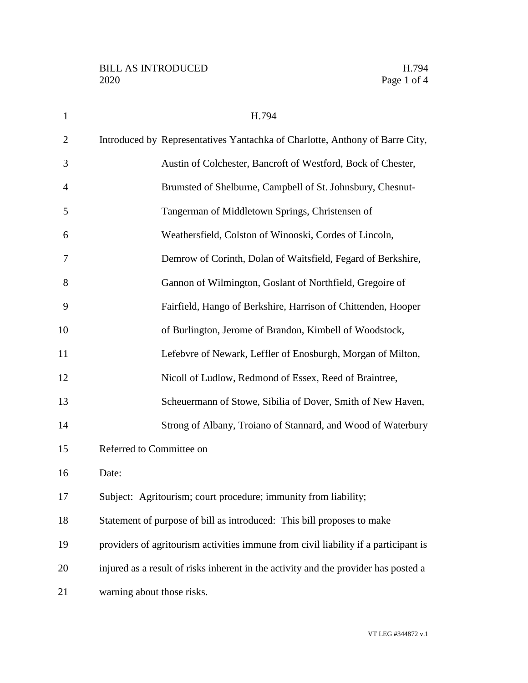| $\mathbf{1}$   | H.794                                                                               |
|----------------|-------------------------------------------------------------------------------------|
| $\overline{2}$ | Introduced by Representatives Yantachka of Charlotte, Anthony of Barre City,        |
| 3              | Austin of Colchester, Bancroft of Westford, Bock of Chester,                        |
| 4              | Brumsted of Shelburne, Campbell of St. Johnsbury, Chesnut-                          |
| 5              | Tangerman of Middletown Springs, Christensen of                                     |
| 6              | Weathersfield, Colston of Winooski, Cordes of Lincoln,                              |
| 7              | Demrow of Corinth, Dolan of Waitsfield, Fegard of Berkshire,                        |
| 8              | Gannon of Wilmington, Goslant of Northfield, Gregoire of                            |
| 9              | Fairfield, Hango of Berkshire, Harrison of Chittenden, Hooper                       |
| 10             | of Burlington, Jerome of Brandon, Kimbell of Woodstock,                             |
| 11             | Lefebvre of Newark, Leffler of Enosburgh, Morgan of Milton,                         |
| 12             | Nicoll of Ludlow, Redmond of Essex, Reed of Braintree,                              |
| 13             | Scheuermann of Stowe, Sibilia of Dover, Smith of New Haven,                         |
| 14             | Strong of Albany, Troiano of Stannard, and Wood of Waterbury                        |
| 15             | Referred to Committee on                                                            |
| 16             | Date:                                                                               |
| 17             | Subject: Agritourism; court procedure; immunity from liability;                     |
| 18             | Statement of purpose of bill as introduced: This bill proposes to make              |
| 19             | providers of agritourism activities immune from civil liability if a participant is |
| 20             | injured as a result of risks inherent in the activity and the provider has posted a |
| 21             | warning about those risks.                                                          |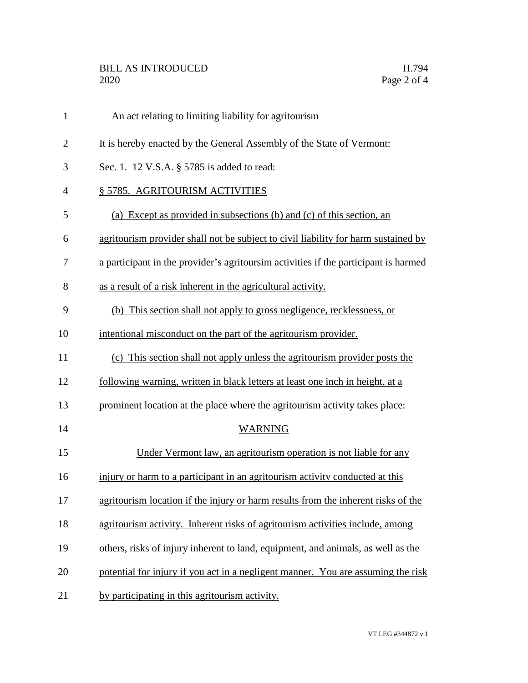| $\mathbf{1}$   | An act relating to limiting liability for agritourism                               |
|----------------|-------------------------------------------------------------------------------------|
| $\overline{2}$ | It is hereby enacted by the General Assembly of the State of Vermont:               |
| 3              | Sec. 1. 12 V.S.A. § 5785 is added to read:                                          |
| $\overline{4}$ | § 5785. AGRITOURISM ACTIVITIES                                                      |
| 5              | (a) Except as provided in subsections (b) and (c) of this section, an               |
| 6              | agritourism provider shall not be subject to civil liability for harm sustained by  |
| 7              | a participant in the provider's agritoursim activities if the participant is harmed |
| 8              | as a result of a risk inherent in the agricultural activity.                        |
| 9              | (b) This section shall not apply to gross negligence, recklessness, or              |
| 10             | intentional misconduct on the part of the agritourism provider.                     |
| 11             | (c) This section shall not apply unless the agritourism provider posts the          |
| 12             | following warning, written in black letters at least one inch in height, at a       |
| 13             | prominent location at the place where the agritourism activity takes place:         |
| 14             | <b>WARNING</b>                                                                      |
| 15             | Under Vermont law, an agritourism operation is not liable for any                   |
| 16             | injury or harm to a participant in an agritourism activity conducted at this        |
| 17             | agritourism location if the injury or harm results from the inherent risks of the   |
| 18             | agritourism activity. Inherent risks of agritourism activities include, among       |
| 19             | others, risks of injury inherent to land, equipment, and animals, as well as the    |
| 20             | potential for injury if you act in a negligent manner. You are assuming the risk    |
| 21             | by participating in this agritourism activity.                                      |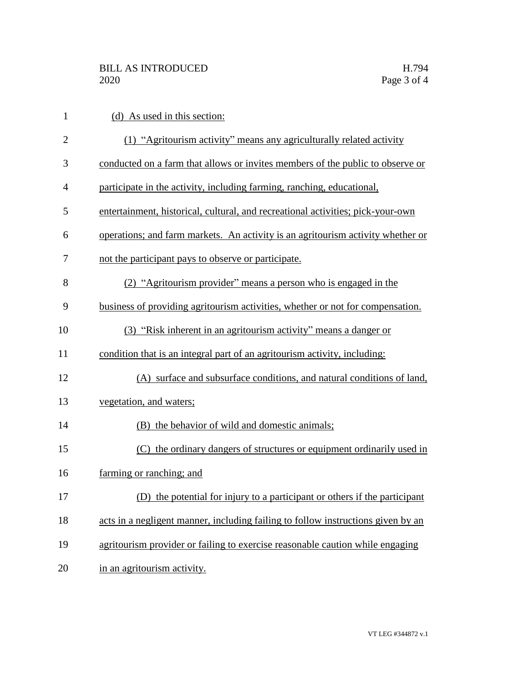| $\mathbf{1}$   | (d) As used in this section:                                                     |
|----------------|----------------------------------------------------------------------------------|
| $\overline{2}$ | (1) "Agritourism activity" means any agriculturally related activity             |
| 3              | conducted on a farm that allows or invites members of the public to observe or   |
| $\overline{4}$ | participate in the activity, including farming, ranching, educational,           |
| 5              | entertainment, historical, cultural, and recreational activities; pick-your-own  |
| 6              | operations; and farm markets. An activity is an agritourism activity whether or  |
| 7              | not the participant pays to observe or participate.                              |
| 8              | (2) "Agritourism provider" means a person who is engaged in the                  |
| 9              | business of providing agritourism activities, whether or not for compensation.   |
| 10             | (3) "Risk inherent in an agritourism activity" means a danger or                 |
| 11             | condition that is an integral part of an agritourism activity, including:        |
| 12             | (A) surface and subsurface conditions, and natural conditions of land,           |
| 13             | vegetation, and waters;                                                          |
| 14             | (B) the behavior of wild and domestic animals;                                   |
| 15             | (C) the ordinary dangers of structures or equipment ordinarily used in           |
| 16             | farming or ranching; and                                                         |
| 17             | (D) the potential for injury to a participant or others if the participant       |
| 18             | acts in a negligent manner, including failing to follow instructions given by an |
| 19             | agritourism provider or failing to exercise reasonable caution while engaging    |
| 20             | in an agritourism activity.                                                      |